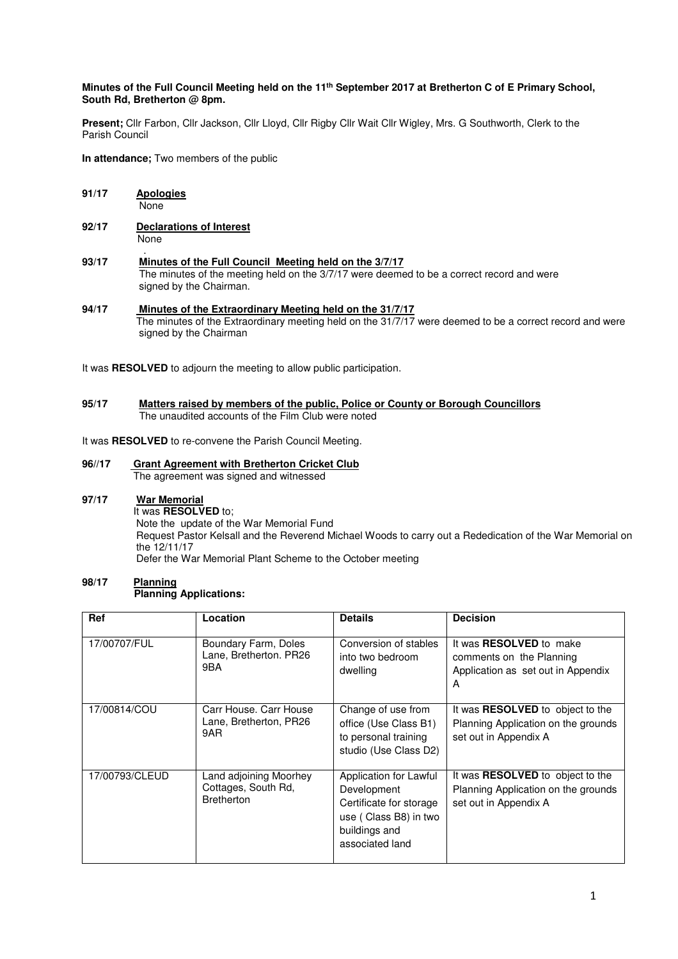## **Minutes of the Full Council Meeting held on the 11th September 2017 at Bretherton C of E Primary School, South Rd, Bretherton @ 8pm.**

**Present;** Cllr Farbon, Cllr Jackson, Cllr Lloyd, Cllr Rigby Cllr Wait Cllr Wigley, Mrs. G Southworth, Clerk to the Parish Council

**In attendance;** Two members of the public

- **91/17 Apologies** None
- **92/17 Declarations of Interest** None
- . **93/17 Minutes of the Full Council Meeting held on the 3/7/17**  The minutes of the meeting held on the 3/7/17 were deemed to be a correct record and were signed by the Chairman.
- **94/17 Minutes of the Extraordinary Meeting held on the 31/7/17** The minutes of the Extraordinary meeting held on the 31/7/17 were deemed to be a correct record and were signed by the Chairman

It was **RESOLVED** to adjourn the meeting to allow public participation.

#### **95/17 Matters raised by members of the public, Police or County or Borough Councillors**  The unaudited accounts of the Film Club were noted

It was **RESOLVED** to re-convene the Parish Council Meeting.

#### **96//17 Grant Agreement with Bretherton Cricket Club** The agreement was signed and witnessed

# **97/17 War Memorial**

 It was **RESOLVED** to; Note the update of the War Memorial Fund Request Pastor Kelsall and the Reverend Michael Woods to carry out a Rededication of the War Memorial on the 12/11/17 Defer the War Memorial Plant Scheme to the October meeting

#### 98/17 **Planning Planning Applications:**

| <b>Ref</b>     | Location                                                           | <b>Details</b>                                                                                                                | <b>Decision</b>                                                                                         |
|----------------|--------------------------------------------------------------------|-------------------------------------------------------------------------------------------------------------------------------|---------------------------------------------------------------------------------------------------------|
| 17/00707/FUL   | Boundary Farm, Doles<br>Lane, Bretherton. PR26<br>9BA              | Conversion of stables<br>into two bedroom<br>dwelling                                                                         | It was <b>RESOLVED</b> to make<br>comments on the Planning<br>Application as set out in Appendix<br>A   |
| 17/00814/COU   | Carr House, Carr House<br>Lane, Bretherton, PR26<br>9AR            | Change of use from<br>office (Use Class B1)<br>to personal training<br>studio (Use Class D2)                                  | It was <b>RESOLVED</b> to object to the<br>Planning Application on the grounds<br>set out in Appendix A |
| 17/00793/CLEUD | Land adjoining Moorhey<br>Cottages, South Rd,<br><b>Bretherton</b> | Application for Lawful<br>Development<br>Certificate for storage<br>use (Class B8) in two<br>buildings and<br>associated land | It was <b>RESOLVED</b> to object to the<br>Planning Application on the grounds<br>set out in Appendix A |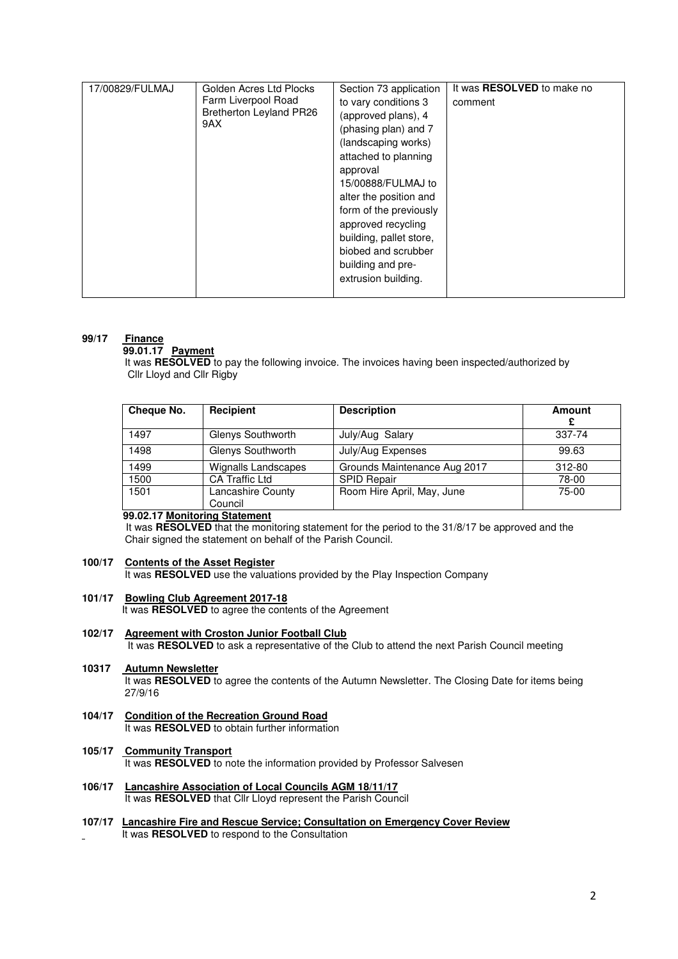| 17/00829/FULMAJ | Golden Acres Ltd Plocks<br>Farm Liverpool Road<br><b>Bretherton Leyland PR26</b><br>9AX | Section 73 application<br>to vary conditions 3<br>(approved plans), 4<br>(phasing plan) and 7<br>(landscaping works)<br>attached to planning<br>approval<br>15/00888/FULMAJ to<br>alter the position and<br>form of the previously<br>approved recycling<br>building, pallet store,<br>biobed and scrubber<br>building and pre-<br>extrusion building. | It was <b>RESOLVED</b> to make no<br>comment |
|-----------------|-----------------------------------------------------------------------------------------|--------------------------------------------------------------------------------------------------------------------------------------------------------------------------------------------------------------------------------------------------------------------------------------------------------------------------------------------------------|----------------------------------------------|
|-----------------|-----------------------------------------------------------------------------------------|--------------------------------------------------------------------------------------------------------------------------------------------------------------------------------------------------------------------------------------------------------------------------------------------------------------------------------------------------------|----------------------------------------------|

## **99/17 Finance**

#### **99.01.17 Payment**

 It was **RESOLVED** to pay the following invoice. The invoices having been inspected/authorized by Cllr Lloyd and Cllr Rigby

| Cheque No. | Recipient                    | <b>Description</b>           | Amount  |
|------------|------------------------------|------------------------------|---------|
| 1497       | Glenys Southworth            | July/Aug Salary              | 337-74  |
| 1498       | Glenys Southworth            | July/Aug Expenses            | 99.63   |
| 1499       | Wignalls Landscapes          | Grounds Maintenance Aug 2017 | 312-80  |
| 1500       | <b>CA Traffic Ltd</b>        | <b>SPID Repair</b>           | 78-00   |
| 1501       | Lancashire County<br>Council | Room Hire April, May, June   | $75-00$ |

# **99.02.17 Monitoring Statement**

 It was **RESOLVED** that the monitoring statement for the period to the 31/8/17 be approved and the Chair signed the statement on behalf of the Parish Council.

# **100/17 Contents of the Asset Register**

It was **RESOLVED** use the valuations provided by the Play Inspection Company

**101/17 Bowling Club Agreement 2017-18** 

It was **RESOLVED** to agree the contents of the Agreement

- **102/17 Agreement with Croston Junior Football Club** It was **RESOLVED** to ask a representative of the Club to attend the next Parish Council meeting
- **10317 Autumn Newsletter**

It was **RESOLVED** to agree the contents of the Autumn Newsletter. The Closing Date for items being 27/9/16

**104/17 Condition of the Recreation Ground Road It was RESOLVED** to obtain further information

# **105/17 Community Transport**

It was **RESOLVED** to note the information provided by Professor Salvesen

- **106/17 Lancashire Association of Local Councils AGM 18/11/17**  It was **RESOLVED** that Cllr Lloyd represent the Parish Council
- **107/17 Lancashire Fire and Rescue Service; Consultation on Emergency Cover Review**  It was **RESOLVED** to respond to the Consultation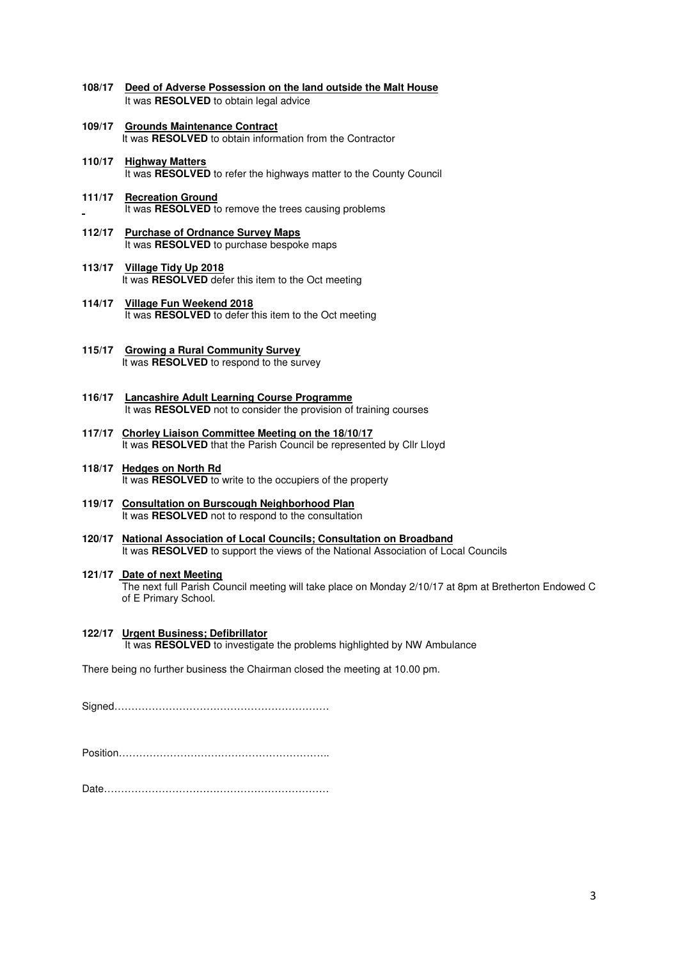- **108/17 Deed of Adverse Possession on the land outside the Malt House**  It was **RESOLVED** to obtain legal advice
- **109/17 Grounds Maintenance Contract** It was **RESOLVED** to obtain information from the Contractor
- **110/17 Highway Matters** It was **RESOLVED** to refer the highways matter to the County Council
- **111/17 Recreation Ground** It was **RESOLVED** to remove the trees causing problems
- **112/17 Purchase of Ordnance Survey Maps**  It was **RESOLVED** to purchase bespoke maps
- **113/17 Village Tidy Up 2018**  It was **RESOLVED** defer this item to the Oct meeting
- **114/17 Village Fun Weekend 2018**  It was **RESOLVED** to defer this item to the Oct meeting
- **115/17 Growing a Rural Community Survey**  It was **RESOLVED** to respond to the survey
- **116/17 Lancashire Adult Learning Course Programme**  It was **RESOLVED** not to consider the provision of training courses
- **117/17 Chorley Liaison Committee Meeting on the 18/10/17**  It was **RESOLVED** that the Parish Council be represented by Cllr Lloyd
- **118/17 Hedges on North Rd** It was **RESOLVED** to write to the occupiers of the property
- **119/17 Consultation on Burscough Neighborhood Plan** It was **RESOLVED** not to respond to the consultation
- **120/17 National Association of Local Councils; Consultation on Broadband** It was **RESOLVED** to support the views of the National Association of Local Councils
- **121/17 Date of next Meeting** The next full Parish Council meeting will take place on Monday 2/10/17 at 8pm at Bretherton Endowed C of E Primary School.
- **122/17 Urgent Business; Defibrillator**  It was **RESOLVED** to investigate the problems highlighted by NW Ambulance

There being no further business the Chairman closed the meeting at 10.00 pm.

Signed………………………………………………………

Position……………………………………………………..

Date…………………………………………………………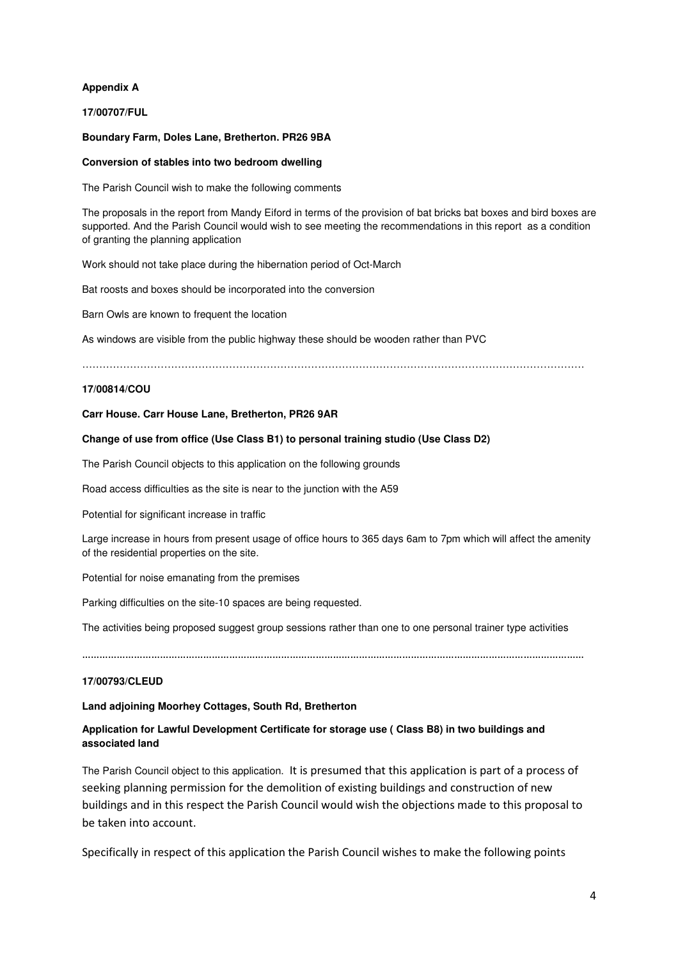# **Appendix A**

**17/00707/FUL**

# **Boundary Farm, Doles Lane, Bretherton. PR26 9BA**

## **Conversion of stables into two bedroom dwelling**

The Parish Council wish to make the following comments

The proposals in the report from Mandy Eiford in terms of the provision of bat bricks bat boxes and bird boxes are supported. And the Parish Council would wish to see meeting the recommendations in this report as a condition of granting the planning application

Work should not take place during the hibernation period of Oct-March

Bat roosts and boxes should be incorporated into the conversion

Barn Owls are known to frequent the location

As windows are visible from the public highway these should be wooden rather than PVC

…………………………………………………………………………………………………………………………………

## **17/00814/COU**

## **Carr House. Carr House Lane, Bretherton, PR26 9AR**

## **Change of use from office (Use Class B1) to personal training studio (Use Class D2)**

The Parish Council objects to this application on the following grounds

Road access difficulties as the site is near to the junction with the A59

Potential for significant increase in traffic

Large increase in hours from present usage of office hours to 365 days 6am to 7pm which will affect the amenity of the residential properties on the site.

Potential for noise emanating from the premises

Parking difficulties on the site-10 spaces are being requested.

The activities being proposed suggest group sessions rather than one to one personal trainer type activities

…………………………………………………………………………………………………………………………………………………………

# **17/00793/CLEUD**

# **Land adjoining Moorhey Cottages, South Rd, Bretherton**

# **Application for Lawful Development Certificate for storage use ( Class B8) in two buildings and associated land**

The Parish Council object to this application. It is presumed that this application is part of a process of seeking planning permission for the demolition of existing buildings and construction of new buildings and in this respect the Parish Council would wish the objections made to this proposal to be taken into account.

Specifically in respect of this application the Parish Council wishes to make the following points